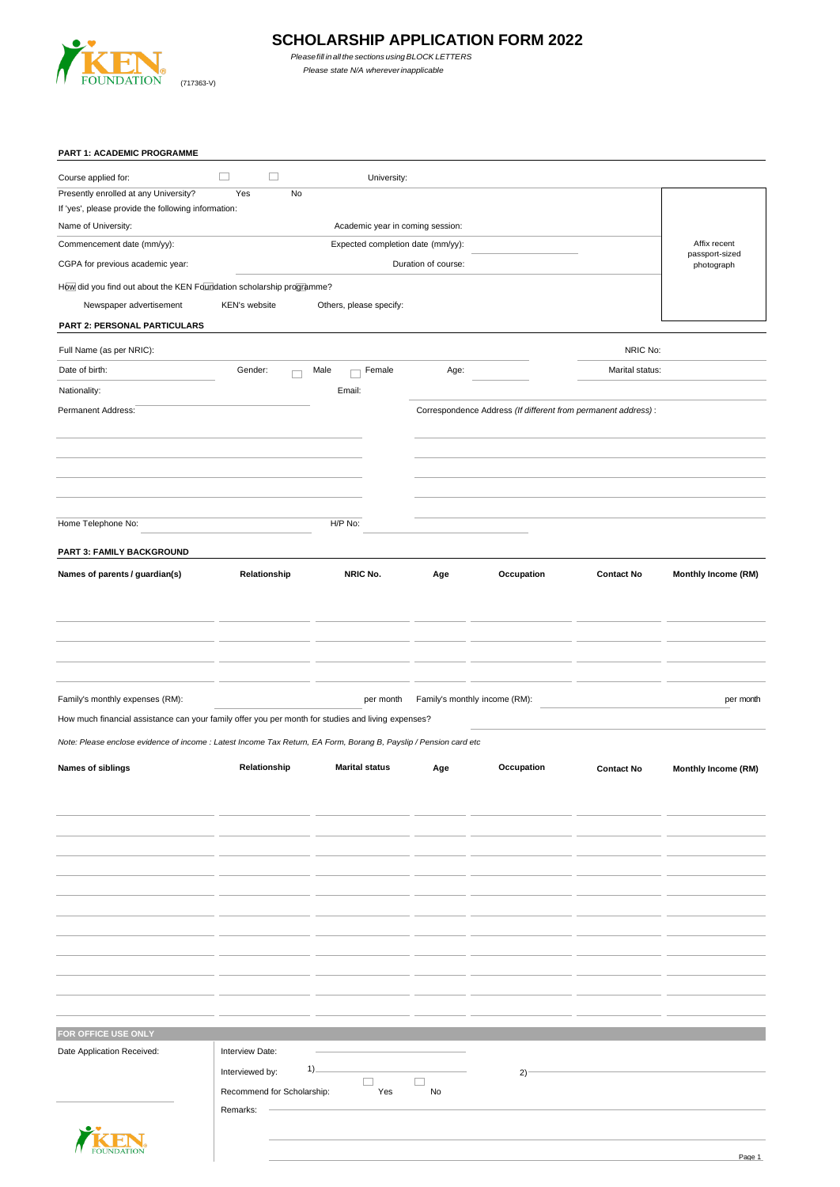

# **SCHOLARSHIP APPLICATION FORM 2022**

 *Pleasefill inallthe sections usingBLOCK LETTERS Please state N/A whereverinapplicable*

| PART 1: ACADEMIC PROGRAMME                                                                                        |                            |                                   |                     |                                                               |                   |                                |
|-------------------------------------------------------------------------------------------------------------------|----------------------------|-----------------------------------|---------------------|---------------------------------------------------------------|-------------------|--------------------------------|
| Course applied for:                                                                                               | $\Box$<br>$\sim$           | University:                       |                     |                                                               |                   |                                |
| Presently enrolled at any University?                                                                             | Yes<br>No                  |                                   |                     |                                                               |                   |                                |
| If 'yes', please provide the following information:                                                               |                            |                                   |                     |                                                               |                   |                                |
| Name of University:                                                                                               |                            | Academic year in coming session:  |                     |                                                               |                   |                                |
| Commencement date (mm/yy):                                                                                        |                            | Expected completion date (mm/yy): |                     |                                                               |                   | Affix recent<br>passport-sized |
| CGPA for previous academic year:                                                                                  |                            |                                   | Duration of course: |                                                               |                   | photograph                     |
| How did you find out about the KEN Foundation scholarship programme?                                              |                            |                                   |                     |                                                               |                   |                                |
| Newspaper advertisement                                                                                           | KEN's website              | Others, please specify:           |                     |                                                               |                   |                                |
| PART 2: PERSONAL PARTICULARS                                                                                      |                            |                                   |                     |                                                               |                   |                                |
| Full Name (as per NRIC):                                                                                          |                            |                                   |                     |                                                               | NRIC No:          |                                |
| Date of birth:                                                                                                    | Gender:                    | Female<br>Male                    | Age:                |                                                               | Marital status:   |                                |
| Nationality:                                                                                                      |                            | Email:                            |                     |                                                               |                   |                                |
| Permanent Address:                                                                                                |                            |                                   |                     | Correspondence Address (If different from permanent address): |                   |                                |
|                                                                                                                   |                            |                                   |                     |                                                               |                   |                                |
|                                                                                                                   |                            |                                   |                     |                                                               |                   |                                |
|                                                                                                                   |                            |                                   |                     |                                                               |                   |                                |
|                                                                                                                   |                            |                                   |                     |                                                               |                   |                                |
|                                                                                                                   |                            |                                   |                     |                                                               |                   |                                |
|                                                                                                                   |                            |                                   |                     |                                                               |                   |                                |
| Home Telephone No:                                                                                                |                            | H/P No:                           |                     |                                                               |                   |                                |
| PART 3: FAMILY BACKGROUND                                                                                         |                            |                                   |                     |                                                               |                   |                                |
| Names of parents / guardian(s)                                                                                    | Relationship               | NRIC No.                          | Age                 | Occupation                                                    | <b>Contact No</b> | Monthly Income (RM)            |
|                                                                                                                   |                            |                                   |                     |                                                               |                   |                                |
|                                                                                                                   |                            |                                   |                     |                                                               |                   |                                |
|                                                                                                                   |                            |                                   |                     |                                                               |                   |                                |
|                                                                                                                   |                            |                                   |                     |                                                               |                   |                                |
|                                                                                                                   |                            |                                   |                     |                                                               |                   |                                |
| Family's monthly expenses (RM):                                                                                   |                            | per month                         |                     | Family's monthly income (RM):                                 |                   | per month                      |
| How much financial assistance can your family offer you per month for studies and living expenses?                |                            |                                   |                     |                                                               |                   |                                |
| Note: Please enclose evidence of income : Latest Income Tax Return, EA Form, Borang B, Payslip / Pension card etc |                            |                                   |                     |                                                               |                   |                                |
| <b>Names of siblings</b>                                                                                          | Relationship               | <b>Marital status</b>             | Age                 | Occupation                                                    | <b>Contact No</b> | Monthly Income (RM)            |
|                                                                                                                   |                            |                                   |                     |                                                               |                   |                                |
|                                                                                                                   |                            |                                   |                     |                                                               |                   |                                |
|                                                                                                                   |                            |                                   |                     |                                                               |                   |                                |
|                                                                                                                   |                            |                                   |                     |                                                               |                   |                                |
|                                                                                                                   |                            |                                   |                     |                                                               |                   |                                |
|                                                                                                                   |                            |                                   |                     |                                                               |                   |                                |
|                                                                                                                   |                            |                                   |                     |                                                               |                   |                                |
|                                                                                                                   |                            |                                   |                     |                                                               |                   |                                |
|                                                                                                                   |                            |                                   |                     |                                                               |                   |                                |
|                                                                                                                   |                            |                                   |                     |                                                               |                   |                                |
|                                                                                                                   |                            |                                   |                     |                                                               |                   |                                |
|                                                                                                                   |                            |                                   |                     |                                                               |                   |                                |
|                                                                                                                   |                            |                                   |                     |                                                               |                   |                                |
| FOR OFFICE USE ONLY                                                                                               |                            |                                   |                     |                                                               |                   |                                |
| Date Application Received:                                                                                        | Interview Date:            |                                   |                     |                                                               |                   |                                |
|                                                                                                                   | Interviewed by:            | $1)$ .                            |                     |                                                               |                   |                                |
|                                                                                                                   |                            | o                                 | П                   | $2)^{-}$                                                      |                   |                                |
|                                                                                                                   | Recommend for Scholarship: | Yes                               | No                  |                                                               |                   |                                |
|                                                                                                                   | Remarks:                   |                                   |                     |                                                               |                   |                                |

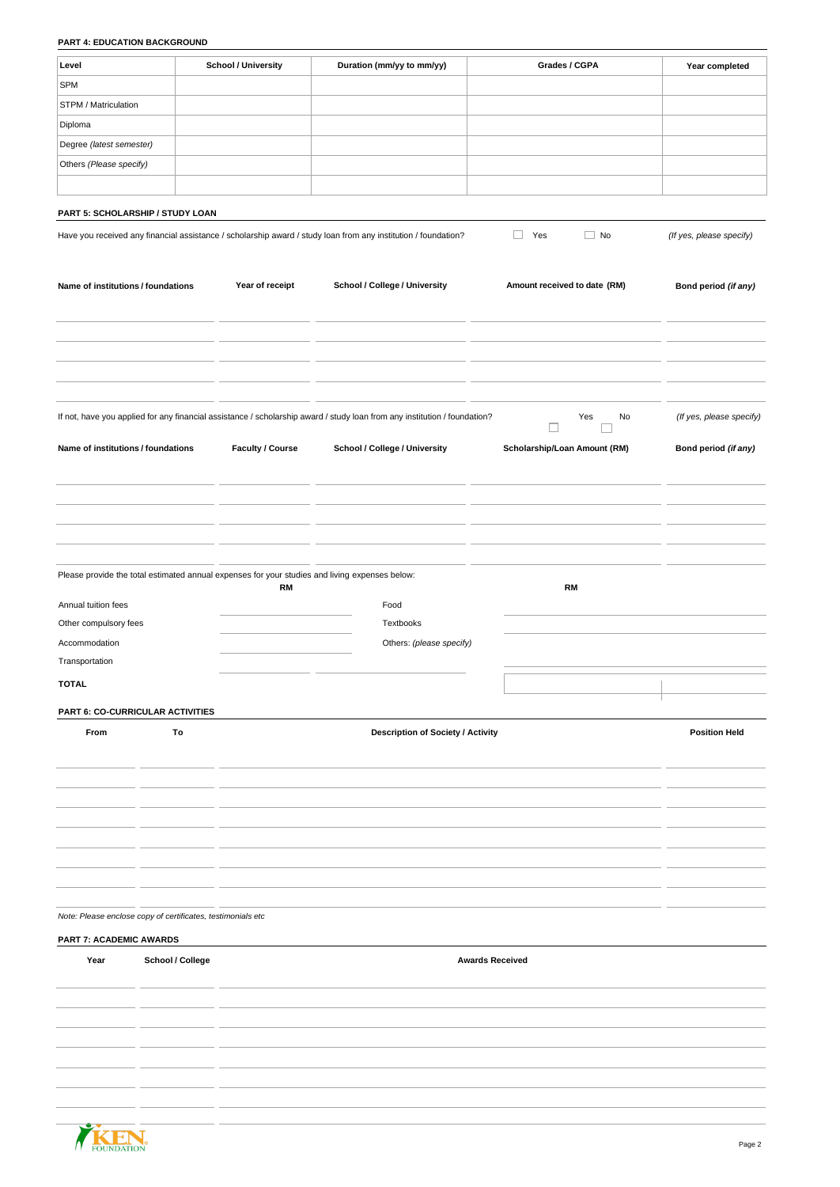# **PART 4: EDUCATION BACKGROUND**

| Level                                                       |                  | <b>School / University</b>                                                                                  | Duration (mm/yy to mm/yy)                                                                                                 | Grades / CGPA                | Year completed           |
|-------------------------------------------------------------|------------------|-------------------------------------------------------------------------------------------------------------|---------------------------------------------------------------------------------------------------------------------------|------------------------------|--------------------------|
| <b>SPM</b>                                                  |                  |                                                                                                             |                                                                                                                           |                              |                          |
| STPM / Matriculation                                        |                  |                                                                                                             |                                                                                                                           |                              |                          |
| Diploma                                                     |                  |                                                                                                             |                                                                                                                           |                              |                          |
|                                                             |                  |                                                                                                             |                                                                                                                           |                              |                          |
| Degree (latest semester)                                    |                  |                                                                                                             |                                                                                                                           |                              |                          |
| Others (Please specify)                                     |                  |                                                                                                             |                                                                                                                           |                              |                          |
|                                                             |                  |                                                                                                             |                                                                                                                           |                              |                          |
| PART 5: SCHOLARSHIP / STUDY LOAN                            |                  |                                                                                                             |                                                                                                                           |                              |                          |
|                                                             |                  |                                                                                                             | Have you received any financial assistance / scholarship award / study loan from any institution / foundation?            | $\Box$ Yes<br>$\Box$ No      | (If yes, please specify) |
|                                                             |                  |                                                                                                             |                                                                                                                           |                              |                          |
|                                                             |                  |                                                                                                             |                                                                                                                           |                              |                          |
| Name of institutions / foundations                          |                  | Year of receipt                                                                                             | School / College / University                                                                                             | Amount received to date (RM) | Bond period (if any)     |
|                                                             |                  |                                                                                                             |                                                                                                                           |                              |                          |
|                                                             |                  |                                                                                                             |                                                                                                                           |                              |                          |
|                                                             |                  |                                                                                                             |                                                                                                                           |                              |                          |
|                                                             |                  |                                                                                                             |                                                                                                                           |                              |                          |
|                                                             |                  |                                                                                                             |                                                                                                                           |                              |                          |
|                                                             |                  |                                                                                                             |                                                                                                                           |                              |                          |
|                                                             |                  |                                                                                                             | If not, have you applied for any financial assistance / scholarship award / study loan from any institution / foundation? | Yes<br>No                    | (If yes, please specify) |
|                                                             |                  |                                                                                                             |                                                                                                                           | □                            |                          |
| Name of institutions / foundations                          |                  | Faculty / Course                                                                                            | School / College / University                                                                                             | Scholarship/Loan Amount (RM) | Bond period (if any)     |
|                                                             |                  |                                                                                                             |                                                                                                                           |                              |                          |
|                                                             |                  |                                                                                                             |                                                                                                                           |                              |                          |
|                                                             |                  |                                                                                                             |                                                                                                                           |                              |                          |
|                                                             |                  |                                                                                                             |                                                                                                                           |                              |                          |
|                                                             |                  |                                                                                                             |                                                                                                                           |                              |                          |
|                                                             |                  |                                                                                                             |                                                                                                                           |                              |                          |
|                                                             |                  | Please provide the total estimated annual expenses for your studies and living expenses below:<br><b>RM</b> |                                                                                                                           | <b>RM</b>                    |                          |
| Annual tuition fees                                         |                  |                                                                                                             | Food                                                                                                                      |                              |                          |
| Other compulsory fees                                       |                  |                                                                                                             | Textbooks                                                                                                                 |                              |                          |
| Accommodation                                               |                  |                                                                                                             | Others: (please specify)                                                                                                  |                              |                          |
| Transportation                                              |                  |                                                                                                             |                                                                                                                           |                              |                          |
|                                                             |                  |                                                                                                             |                                                                                                                           |                              |                          |
| <b>TOTAL</b>                                                |                  |                                                                                                             |                                                                                                                           |                              |                          |
| PART 6: CO-CURRICULAR ACTIVITIES                            |                  |                                                                                                             |                                                                                                                           |                              |                          |
| From                                                        | To               |                                                                                                             | Description of Society / Activity                                                                                         |                              | <b>Position Held</b>     |
|                                                             |                  |                                                                                                             |                                                                                                                           |                              |                          |
|                                                             |                  |                                                                                                             |                                                                                                                           |                              |                          |
|                                                             |                  |                                                                                                             |                                                                                                                           |                              |                          |
|                                                             |                  |                                                                                                             |                                                                                                                           |                              |                          |
|                                                             |                  |                                                                                                             |                                                                                                                           |                              |                          |
|                                                             |                  |                                                                                                             |                                                                                                                           |                              |                          |
|                                                             |                  |                                                                                                             |                                                                                                                           |                              |                          |
|                                                             |                  |                                                                                                             |                                                                                                                           |                              |                          |
|                                                             |                  |                                                                                                             |                                                                                                                           |                              |                          |
| Note: Please enclose copy of certificates, testimonials etc |                  |                                                                                                             |                                                                                                                           |                              |                          |
| <b>PART 7: ACADEMIC AWARDS</b>                              |                  |                                                                                                             |                                                                                                                           |                              |                          |
| Year                                                        | School / College |                                                                                                             |                                                                                                                           | <b>Awards Received</b>       |                          |
|                                                             |                  |                                                                                                             |                                                                                                                           |                              |                          |
|                                                             |                  |                                                                                                             |                                                                                                                           |                              |                          |
|                                                             |                  |                                                                                                             |                                                                                                                           |                              |                          |
|                                                             |                  |                                                                                                             |                                                                                                                           |                              |                          |
|                                                             |                  |                                                                                                             |                                                                                                                           |                              |                          |
|                                                             |                  |                                                                                                             |                                                                                                                           |                              |                          |
|                                                             |                  |                                                                                                             |                                                                                                                           |                              |                          |
|                                                             |                  |                                                                                                             |                                                                                                                           |                              |                          |